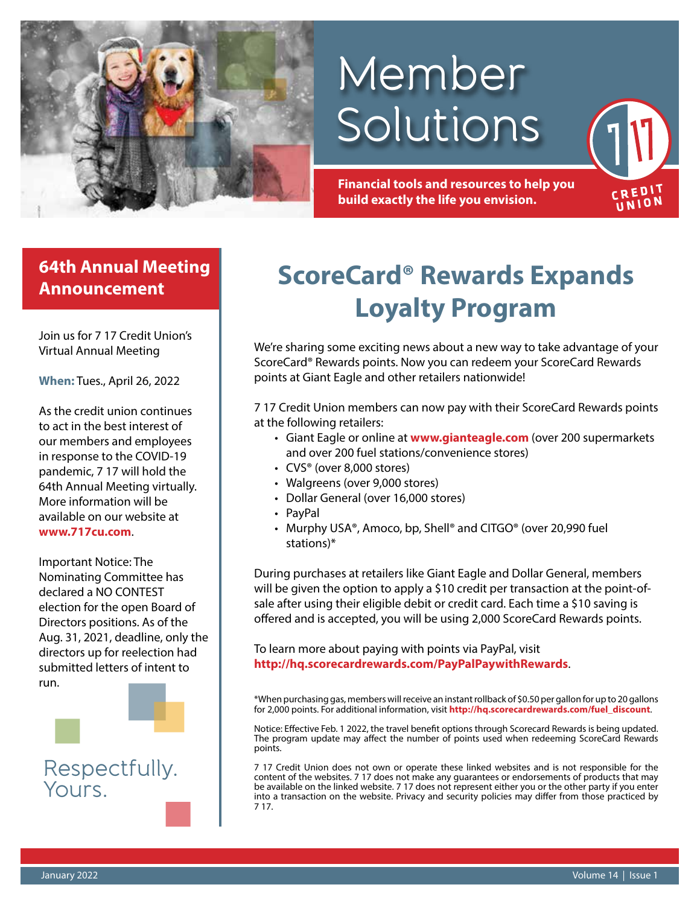

# Member Solutions

**Financial tools and resources to help you build exactly the life you envision.**

### **64th Annual Meeting Announcement**

Join us for 7 17 Credit Union's Virtual Annual Meeting

**When:** Tues., April 26, 2022

As the credit union continues to act in the best interest of our members and employees in response to the COVID-19 pandemic, 7 17 will hold the 64th Annual Meeting virtually. More information will be available on our website at **www.717cu.com**.

Important Notice: The Nominating Committee has declared a NO CONTEST election for the open Board of Directors positions. As of the Aug. 31, 2021, deadline, only the directors up for reelection had submitted letters of intent to run.



Respectfully. Yours.

## **ScoreCard® Rewards Expands Loyalty Program**

We're sharing some exciting news about a new way to take advantage of your ScoreCard® Rewards points. Now you can redeem your ScoreCard Rewards points at Giant Eagle and other retailers nationwide!

7 17 Credit Union members can now pay with their ScoreCard Rewards points at the following retailers:

- Giant Eagle or online at www.gianteagle.com (over 200 supermarkets and over 200 fuel stations/convenience stores)
- CVS® (over 8,000 stores)
- Walgreens (over 9,000 stores)
- Dollar General (over 16,000 stores)
- PayPal
- Murphy USA®, Amoco, bp, Shell® and CITGO® (over 20,990 fuel stations)\*

During purchases at retailers like Giant Eagle and Dollar General, members will be given the option to apply a \$10 credit per transaction at the point-ofsale after using their eligible debit or credit card. Each time a \$10 saving is offered and is accepted, you will be using 2,000 ScoreCard Rewards points.

To learn more about paying with points via PayPal, visit **http://hq.scorecardrewards.com/PayPalPaywithRewards**.

\*When purchasing gas, members will receive an instant rollback of \$0.50 per gallon for up to 20 gallons for 2,000 points. For additional information, visit **http://hq.scorecardrewards.com/fuel\_discount**.

Notice: Effective Feb. 1 2022, the travel benefit options through Scorecard Rewards is being updated. The program update may affect the number of points used when redeeming ScoreCard Rewards points.

7 17 Credit Union does not own or operate these linked websites and is not responsible for the content of the websites. 7 17 does not make any guarantees or endorsements of products that may be available on the linked website. 7 17 does not represent either you or the other party if you enter into a transaction on the website. Privacy and security policies may differ from those practiced by 7 17.

**CREDIT** UNION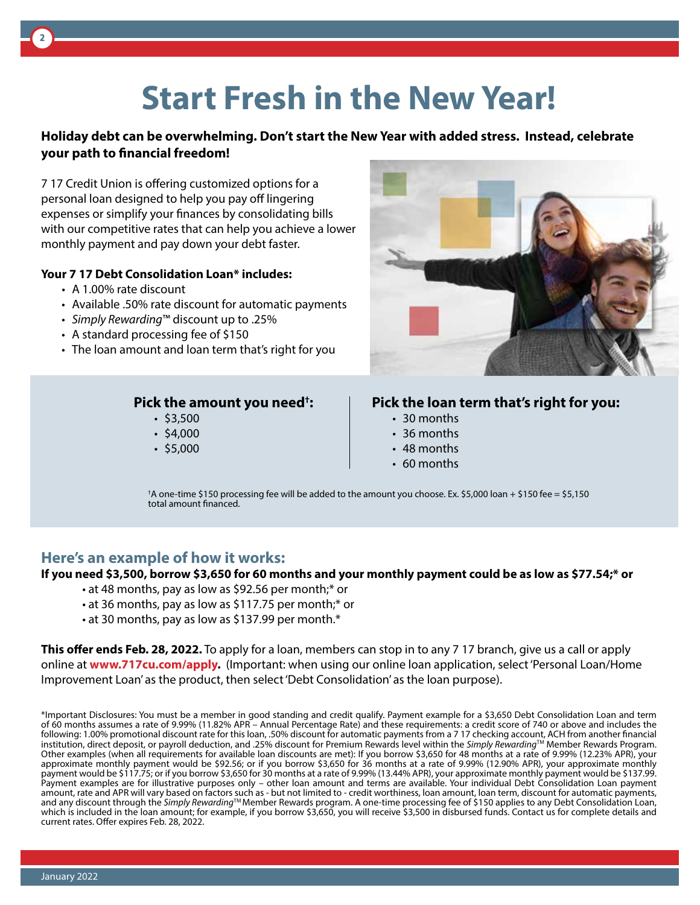## **Start Fresh in the New Year!**

#### **Holiday debt can be overwhelming. Don't start the New Year with added stress. Instead, celebrate your path to financial freedom!**

7 17 Credit Union is offering customized options for a personal loan designed to help you pay off lingering expenses or simplify your finances by consolidating bills with our competitive rates that can help you achieve a lower monthly payment and pay down your debt faster.

#### **Your 7 17 Debt Consolidation Loan\* includes:**

- A 1.00% rate discount
- Available .50% rate discount for automatic payments
- *Simply Rewarding*™ discount up to .25%
- A standard processing fee of \$150
- The loan amount and loan term that's right for you

#### **Pick the amount you need† :**

- \$3,500
- $$4,000$
- $\cdot$  \$5,000



#### **Pick the loan term that's right for you:**

- 30 months
- 36 months
- 48 months
- 60 months

† A one-time \$150 processing fee will be added to the amount you choose. Ex. \$5,000 loan + \$150 fee = \$5,150 total amount financed.

#### **Here's an example of how it works:**

#### **If you need \$3,500, borrow \$3,650 for 60 months and your monthly payment could be as low as \$77.54;\* or**

- at 48 months, pay as low as \$92.56 per month;\* or
- at 36 months, pay as low as \$117.75 per month;\* or
- at 30 months, pay as low as \$137.99 per month.\*

**This offer ends Feb. 28, 2022.** To apply for a loan, members can stop in to any 7 17 branch, give us a call or apply online at **www.717cu.com/apply.** (Important: when using our online loan application, select 'Personal Loan/Home Improvement Loan' as the product, then select 'Debt Consolidation' as the loan purpose).

\*Important Disclosures: You must be a member in good standing and credit qualify. Payment example for a \$3,650 Debt Consolidation Loan and term of 60 months assumes a rate of 9.99% (11.82% APR – Annual Percentage Rate) and these requirements: a credit score of 740 or above and includes the following: 1.00% promotional discount rate for this loan, .50% discount for automatic payments from a 7 17 checking account, ACH from another financial institution, direct deposit, or payroll deduction, and .25% discount for Premium Rewards level within the *Simply Rewarding*TM Member Rewards Program. Other examples (when all requirements for available loan discounts are met): If you borrow \$3,650 for 48 months at a rate of 9.99% (12.23% APR), your approximate monthly payment would be \$92.56; or if you borrow \$3,650 for 36 months at a rate of 9.99% (12.90% APR), your approximate monthly payment would be \$117.75; or if you borrow \$3,650 for 30 months at a rate of 9.99% (13.44% APR), your approximate monthly payment would be \$137.99. Payment examples are for illustrative purposes only – other loan amount and terms are available. Your individual Debt Consolidation Loan payment amount, rate and APR will vary based on factors such as - but not limited to - credit worthiness, loan amount, loan term, discount for automatic payments, and any discount through the *Simply Rewarding*TM Member Rewards program. A one-time processing fee of \$150 applies to any Debt Consolidation Loan, which is included in the loan amount; for example, if you borrow \$3,650, you will receive \$3,500 in disbursed funds. Contact us for complete details and current rates. Offer expires Feb. 28, 2022.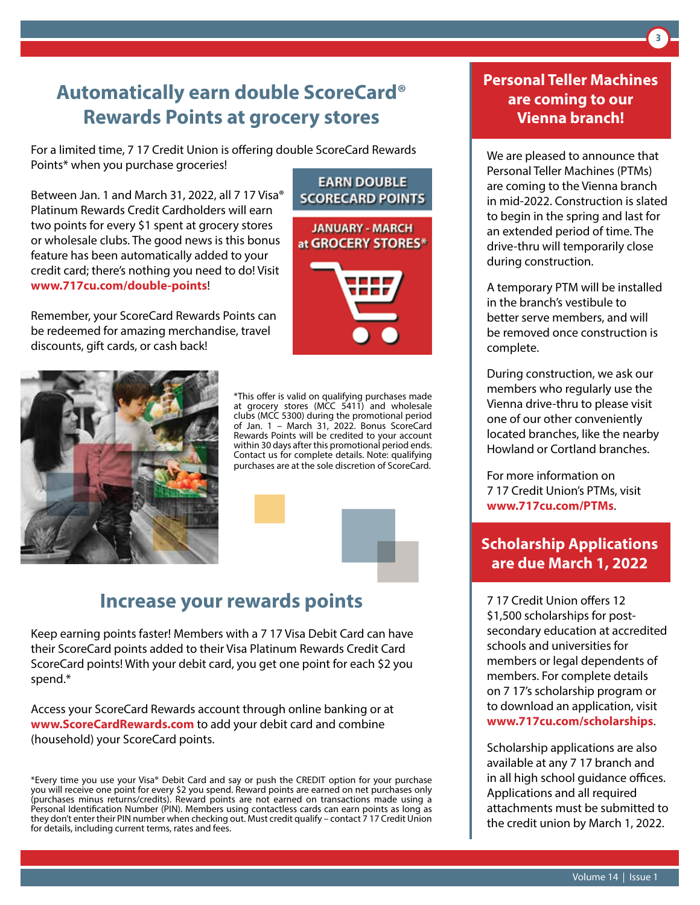## **Automatically earn double ScoreCard® Rewards Points at grocery stores**

For a limited time, 7 17 Credit Union is offering double ScoreCard Rewards Points\* when you purchase groceries!

Between Jan. 1 and March 31, 2022, all 7 17 Visa® Platinum Rewards Credit Cardholders will earn two points for every \$1 spent at grocery stores or wholesale clubs. The good news is this bonus feature has been automatically added to your credit card; there's nothing you need to do! Visit **www.717cu.com/double-points**!

Remember, your ScoreCard Rewards Points can be redeemed for amazing merchandise, travel discounts, gift cards, or cash back!





\*This offer is valid on qualifying purchases made at grocery stores (MCC 5411) and wholesale clubs (MCC 5300) during the promotional period of Jan. 1 – March 31, 2022. Bonus ScoreCard Rewards Points will be credited to your account within 30 days after this promotional period ends. Contact us for complete details. Note: qualifying purchases are at the sole discretion of ScoreCard.



Keep earning points faster! Members with a 7 17 Visa Debit Card can have their ScoreCard points added to their Visa Platinum Rewards Credit Card ScoreCard points! With your debit card, you get one point for each \$2 you spend.\*

Access your ScoreCard Rewards account through online banking or at **www.ScoreCardRewards.com** to add your debit card and combine (household) your ScoreCard points.

\*Every time you use your Visa® Debit Card and say or push the CREDIT option for your purchase you will receive one point for every \$2 you spend. Reward points are earned on net purchases only (purchases minus returns/credits). Reward points are not earned on transactions made using a Personal Identification Number (PIN). Members using contactless cards can earn points as long as they don't enter their PIN number when checking out. Must credit qualify – contact 7 17 Credit Union for details, including current terms, rates and fees.

### **Personal Teller Machines are coming to our Vienna branch!**

We are pleased to announce that Personal Teller Machines (PTMs) are coming to the Vienna branch in mid-2022. Construction is slated to begin in the spring and last for an extended period of time. The drive-thru will temporarily close during construction.

A temporary PTM will be installed in the branch's vestibule to better serve members, and will be removed once construction is complete.

During construction, we ask our members who regularly use the Vienna drive-thru to please visit one of our other conveniently located branches, like the nearby Howland or Cortland branches.

For more information on 7 17 Credit Union's PTMs, visit **www.717cu.com/PTMs**.

### **Scholarship Applications are due March 1, 2022**

7 17 Credit Union offers 12 \$1,500 scholarships for postsecondary education at accredited schools and universities for members or legal dependents of members. For complete details on 7 17's scholarship program or to download an application, visit **www.717cu.com/scholarships**.

Scholarship applications are also available at any 7 17 branch and in all high school guidance offices. Applications and all required attachments must be submitted to the credit union by March 1, 2022.

**3**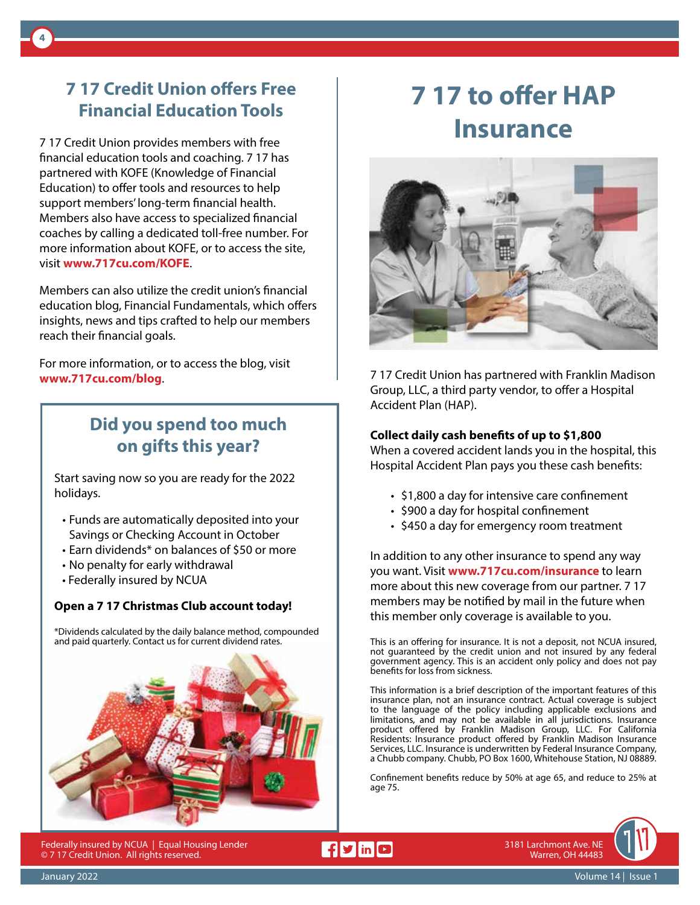## **7 17 Credit Union offers Free Financial Education Tools**

**4**

7 17 Credit Union provides members with free financial education tools and coaching. 7 17 has partnered with KOFE (Knowledge of Financial Education) to offer tools and resources to help support members' long-term financial health. Members also have access to specialized financial coaches by calling a dedicated toll-free number. For more information about KOFE, or to access the site, visit **www.717cu.com/KOFE**.

Members can also utilize the credit union's financial education blog, Financial Fundamentals, which offers insights, news and tips crafted to help our members reach their financial goals.

For more information, or to access the blog, visit **www.717cu.com/blog**.

## **Did you spend too much on gifts this year?**

Start saving now so you are ready for the 2022 holidays.

- Funds are automatically deposited into your Savings or Checking Account in October
- Earn dividends\* on balances of \$50 or more
- No penalty for early withdrawal
- Federally insured by NCUA

#### **Open a 7 17 Christmas Club account today!**

\*Dividends calculated by the daily balance method, compounded and paid quarterly. Contact us for current dividend rates.



Federally insured by NCUA | Equal Housing Lender © 7 17 Credit Union. All rights reserved.

## **7 17 to offer HAP Insurance**



7 17 Credit Union has partnered with Franklin Madison Group, LLC, a third party vendor, to offer a Hospital Accident Plan (HAP).

#### **Collect daily cash benefits of up to \$1,800**

When a covered accident lands you in the hospital, this Hospital Accident Plan pays you these cash benefits:

- \$1,800 a day for intensive care confinement
- \$900 a day for hospital confinement
- \$450 a day for emergency room treatment

In addition to any other insurance to spend any way you want. Visit **www.717cu.com/insurance** to learn more about this new coverage from our partner. 7 17 members may be notified by mail in the future when this member only coverage is available to you.

This is an offering for insurance. It is not a deposit, not NCUA insured, not guaranteed by the credit union and not insured by any federal government agency. This is an accident only policy and does not pay benefits for loss from sickness.

This information is a brief description of the important features of this insurance plan, not an insurance contract. Actual coverage is subject to the language of the policy including applicable exclusions and limitations, and may not be available in all jurisdictions. Insurance product offered by Franklin Madison Group, LLC. For California Residents: Insurance product offered by Franklin Madison Insurance Services, LLC. Insurance is underwritten by Federal Insurance Company, a Chubb company. Chubb, PO Box 1600, Whitehouse Station, NJ 08889.

Confinement benefits reduce by 50% at age 65, and reduce to 25% at age 75.

 $f y$  in  $Q$ 



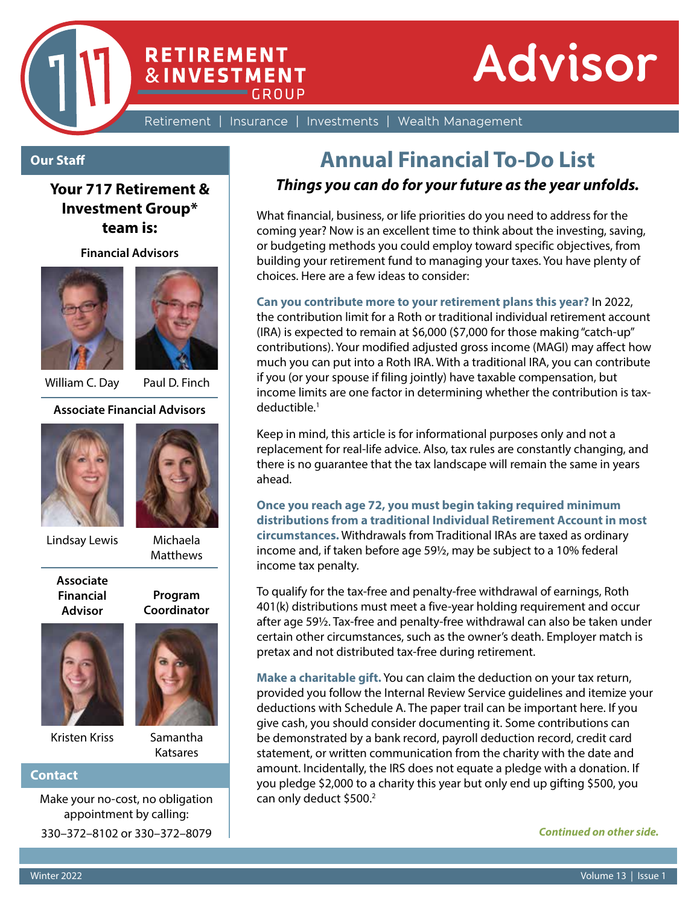

**CROUP** 

**RETIREMENT** 

**&INVESTMENT** 

Retirement | Insurance | Investments | Wealth Management

#### **Our Staff**

**Your 717 Retirement & Investment Group\* team is:**

**Financial Advisors**





William C. Day Paul D. Finch

**Associate Financial Advisors**





Lindsay Lewis Michaela

**Matthews** 

**Program Coordinator**

**Associate Financial Advisor**



Kristen Kriss Samantha



Katsares

#### **Contact**

Make your no-cost, no obligation appointment by calling: 330–372–8102 or 330–372–8079

## **Annual Financial To-Do List**

#### *Things you can do for your future as the year unfolds.*

What financial, business, or life priorities do you need to address for the coming year? Now is an excellent time to think about the investing, saving, or budgeting methods you could employ toward specific objectives, from building your retirement fund to managing your taxes. You have plenty of choices. Here are a few ideas to consider:

**Can you contribute more to your retirement plans this year?** In 2022,

the contribution limit for a Roth or traditional individual retirement account (IRA) is expected to remain at \$6,000 (\$7,000 for those making "catch-up" contributions). Your modified adjusted gross income (MAGI) may affect how much you can put into a Roth IRA. With a traditional IRA, you can contribute if you (or your spouse if filing jointly) have taxable compensation, but income limits are one factor in determining whether the contribution is taxdeductible.1

Keep in mind, this article is for informational purposes only and not a replacement for real-life advice. Also, tax rules are constantly changing, and there is no guarantee that the tax landscape will remain the same in years ahead.

**Once you reach age 72, you must begin taking required minimum distributions from a traditional Individual Retirement Account in most circumstances.** Withdrawals from Traditional IRAs are taxed as ordinary income and, if taken before age 59½, may be subject to a 10% federal income tax penalty.

To qualify for the tax-free and penalty-free withdrawal of earnings, Roth 401(k) distributions must meet a five-year holding requirement and occur after age 59½. Tax-free and penalty-free withdrawal can also be taken under certain other circumstances, such as the owner's death. Employer match is pretax and not distributed tax-free during retirement.

**Make a charitable gift.** You can claim the deduction on your tax return, provided you follow the Internal Review Service guidelines and itemize your deductions with Schedule A. The paper trail can be important here. If you give cash, you should consider documenting it. Some contributions can be demonstrated by a bank record, payroll deduction record, credit card statement, or written communication from the charity with the date and amount. Incidentally, the IRS does not equate a pledge with a donation. If you pledge \$2,000 to a charity this year but only end up gifting \$500, you can only deduct \$500.<sup>2</sup>

*Continued on other side.*